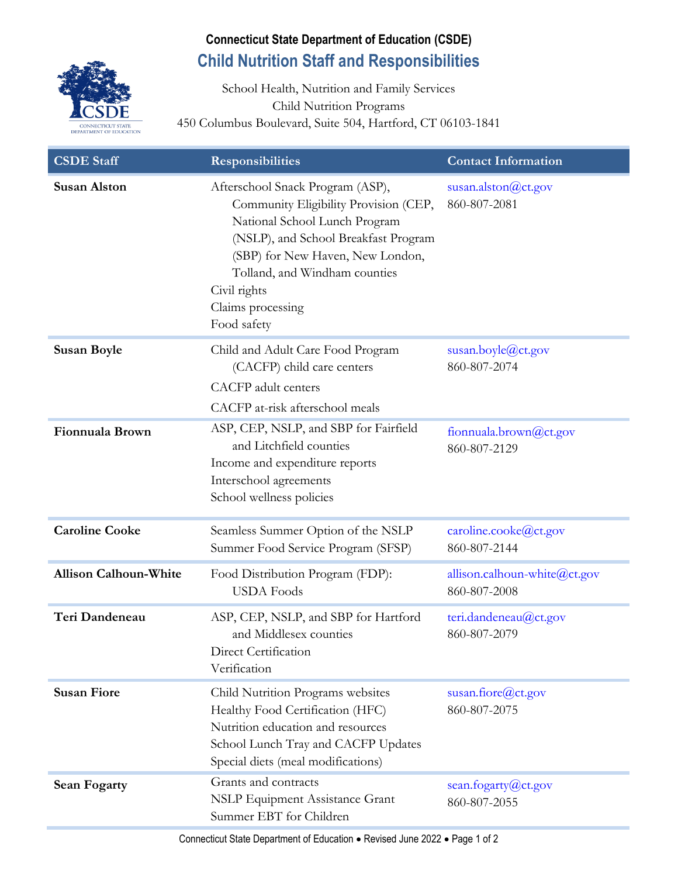

## **Connecticut State Department of Education (CSDE) Child Nutrition Staff and Responsibilities**

School Health, Nutrition and Family Services Child Nutrition Programs 450 Columbus Boulevard, Suite 504, Hartford, CT 06103-1841

| <b>CSDE Staff</b>            | <b>Responsibilities</b>                                                                                                                                                                                                                                                     | <b>Contact Information</b>                       |
|------------------------------|-----------------------------------------------------------------------------------------------------------------------------------------------------------------------------------------------------------------------------------------------------------------------------|--------------------------------------------------|
| <b>Susan Alston</b>          | Afterschool Snack Program (ASP),<br>Community Eligibility Provision (CEP,<br>National School Lunch Program<br>(NSLP), and School Breakfast Program<br>(SBP) for New Haven, New London,<br>Tolland, and Windham counties<br>Civil rights<br>Claims processing<br>Food safety | susan.alston@ct.gov<br>860-807-2081              |
| <b>Susan Boyle</b>           | Child and Adult Care Food Program<br>(CACFP) child care centers<br><b>CACFP</b> adult centers<br>CACFP at-risk afterschool meals                                                                                                                                            | susan.boyle@ct.gov<br>860-807-2074               |
| Fionnuala Brown              | ASP, CEP, NSLP, and SBP for Fairfield<br>and Litchfield counties<br>Income and expenditure reports<br>Interschool agreements<br>School wellness policies                                                                                                                    | fionnuala.brown@ct.gov<br>860-807-2129           |
| <b>Caroline Cooke</b>        | Seamless Summer Option of the NSLP<br>Summer Food Service Program (SFSP)                                                                                                                                                                                                    | caroline.cooke@ct.gov<br>860-807-2144            |
| <b>Allison Calhoun-White</b> | Food Distribution Program (FDP):<br><b>USDA</b> Foods                                                                                                                                                                                                                       | allison.calhoun-white $@$ ct.gov<br>860-807-2008 |
| Teri Dandeneau               | ASP, CEP, NSLP, and SBP for Hartford<br>and Middlesex counties<br>Direct Certification<br>Verification                                                                                                                                                                      | teri.dandeneau@ct.gov<br>860-807-2079            |
| <b>Susan Fiore</b>           | Child Nutrition Programs websites<br>Healthy Food Certification (HFC)<br>Nutrition education and resources<br>School Lunch Tray and CACFP Updates<br>Special diets (meal modifications)                                                                                     | susan.fiore@ct.gov<br>860-807-2075               |
| <b>Sean Fogarty</b>          | Grants and contracts<br><b>NSLP Equipment Assistance Grant</b><br>Summer EBT for Children                                                                                                                                                                                   | sean.fogarty@ct.gov<br>860-807-2055              |